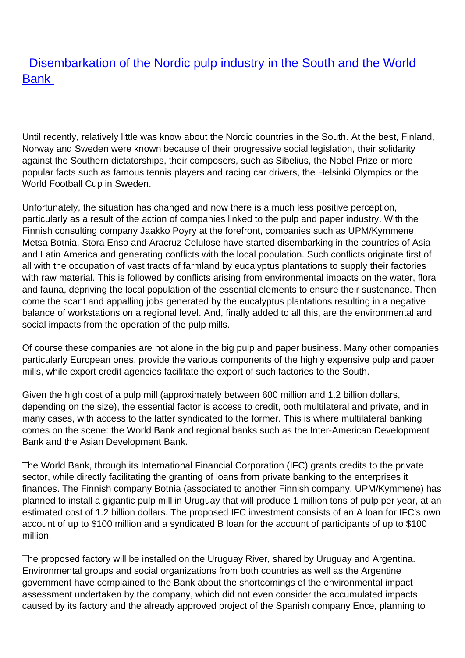## **[Disembarkation of the Nordic pulp industry in the South and the World](/bulletin-articles/disembarkation-of-the-nordic-pulp-industry-in-the-south-and-the-world-bank)** [Bank](/bulletin-articles/disembarkation-of-the-nordic-pulp-industry-in-the-south-and-the-world-bank)

Until recently, relatively little was know about the Nordic countries in the South. At the best, Finland, Norway and Sweden were known because of their progressive social legislation, their solidarity against the Southern dictatorships, their composers, such as Sibelius, the Nobel Prize or more popular facts such as famous tennis players and racing car drivers, the Helsinki Olympics or the World Football Cup in Sweden.

Unfortunately, the situation has changed and now there is a much less positive perception, particularly as a result of the action of companies linked to the pulp and paper industry. With the Finnish consulting company Jaakko Poyry at the forefront, companies such as UPM/Kymmene, Metsa Botnia, Stora Enso and Aracruz Celulose have started disembarking in the countries of Asia and Latin America and generating conflicts with the local population. Such conflicts originate first of all with the occupation of vast tracts of farmland by eucalyptus plantations to supply their factories with raw material. This is followed by conflicts arising from environmental impacts on the water, flora and fauna, depriving the local population of the essential elements to ensure their sustenance. Then come the scant and appalling jobs generated by the eucalyptus plantations resulting in a negative balance of workstations on a regional level. And, finally added to all this, are the environmental and social impacts from the operation of the pulp mills.

Of course these companies are not alone in the big pulp and paper business. Many other companies, particularly European ones, provide the various components of the highly expensive pulp and paper mills, while export credit agencies facilitate the export of such factories to the South.

Given the high cost of a pulp mill (approximately between 600 million and 1.2 billion dollars, depending on the size), the essential factor is access to credit, both multilateral and private, and in many cases, with access to the latter syndicated to the former. This is where multilateral banking comes on the scene: the World Bank and regional banks such as the Inter-American Development Bank and the Asian Development Bank.

The World Bank, through its International Financial Corporation (IFC) grants credits to the private sector, while directly facilitating the granting of loans from private banking to the enterprises it finances. The Finnish company Botnia (associated to another Finnish company, UPM/Kymmene) has planned to install a gigantic pulp mill in Uruguay that will produce 1 million tons of pulp per year, at an estimated cost of 1.2 billion dollars. The proposed IFC investment consists of an A loan for IFC's own account of up to \$100 million and a syndicated B loan for the account of participants of up to \$100 million.

The proposed factory will be installed on the Uruguay River, shared by Uruguay and Argentina. Environmental groups and social organizations from both countries as well as the Argentine government have complained to the Bank about the shortcomings of the environmental impact assessment undertaken by the company, which did not even consider the accumulated impacts caused by its factory and the already approved project of the Spanish company Ence, planning to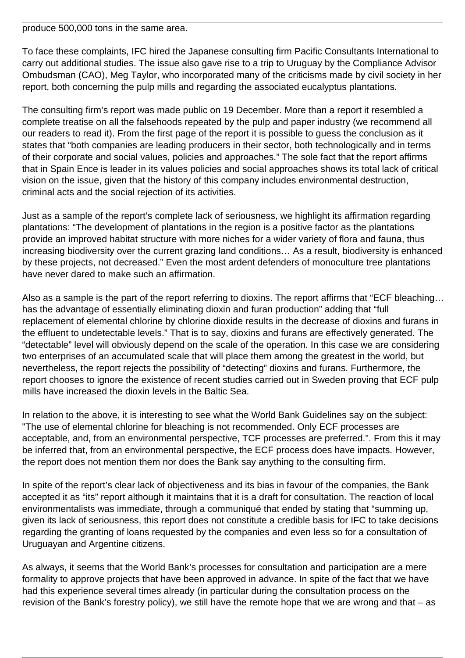produce 500,000 tons in the same area.

To face these complaints, IFC hired the Japanese consulting firm Pacific Consultants International to carry out additional studies. The issue also gave rise to a trip to Uruguay by the Compliance Advisor Ombudsman (CAO), Meg Taylor, who incorporated many of the criticisms made by civil society in her report, both concerning the pulp mills and regarding the associated eucalyptus plantations.

The consulting firm's report was made public on 19 December. More than a report it resembled a complete treatise on all the falsehoods repeated by the pulp and paper industry (we recommend all our readers to read it). From the first page of the report it is possible to guess the conclusion as it states that "both companies are leading producers in their sector, both technologically and in terms of their corporate and social values, policies and approaches." The sole fact that the report affirms that in Spain Ence is leader in its values policies and social approaches shows its total lack of critical vision on the issue, given that the history of this company includes environmental destruction, criminal acts and the social rejection of its activities.

Just as a sample of the report's complete lack of seriousness, we highlight its affirmation regarding plantations: "The development of plantations in the region is a positive factor as the plantations provide an improved habitat structure with more niches for a wider variety of flora and fauna, thus increasing biodiversity over the current grazing land conditions… As a result, biodiversity is enhanced by these projects, not decreased." Even the most ardent defenders of monoculture tree plantations have never dared to make such an affirmation.

Also as a sample is the part of the report referring to dioxins. The report affirms that "ECF bleaching… has the advantage of essentially eliminating dioxin and furan production" adding that "full replacement of elemental chlorine by chlorine dioxide results in the decrease of dioxins and furans in the effluent to undetectable levels." That is to say, dioxins and furans are effectively generated. The "detectable" level will obviously depend on the scale of the operation. In this case we are considering two enterprises of an accumulated scale that will place them among the greatest in the world, but nevertheless, the report rejects the possibility of "detecting" dioxins and furans. Furthermore, the report chooses to ignore the existence of recent studies carried out in Sweden proving that ECF pulp mills have increased the dioxin levels in the Baltic Sea.

In relation to the above, it is interesting to see what the World Bank Guidelines say on the subject: "The use of elemental chlorine for bleaching is not recommended. Only ECF processes are acceptable, and, from an environmental perspective, TCF processes are preferred.". From this it may be inferred that, from an environmental perspective, the ECF process does have impacts. However, the report does not mention them nor does the Bank say anything to the consulting firm.

In spite of the report's clear lack of objectiveness and its bias in favour of the companies, the Bank accepted it as "its" report although it maintains that it is a draft for consultation. The reaction of local environmentalists was immediate, through a communiqué that ended by stating that "summing up, given its lack of seriousness, this report does not constitute a credible basis for IFC to take decisions regarding the granting of loans requested by the companies and even less so for a consultation of Uruguayan and Argentine citizens.

As always, it seems that the World Bank's processes for consultation and participation are a mere formality to approve projects that have been approved in advance. In spite of the fact that we have had this experience several times already (in particular during the consultation process on the revision of the Bank's forestry policy), we still have the remote hope that we are wrong and that – as